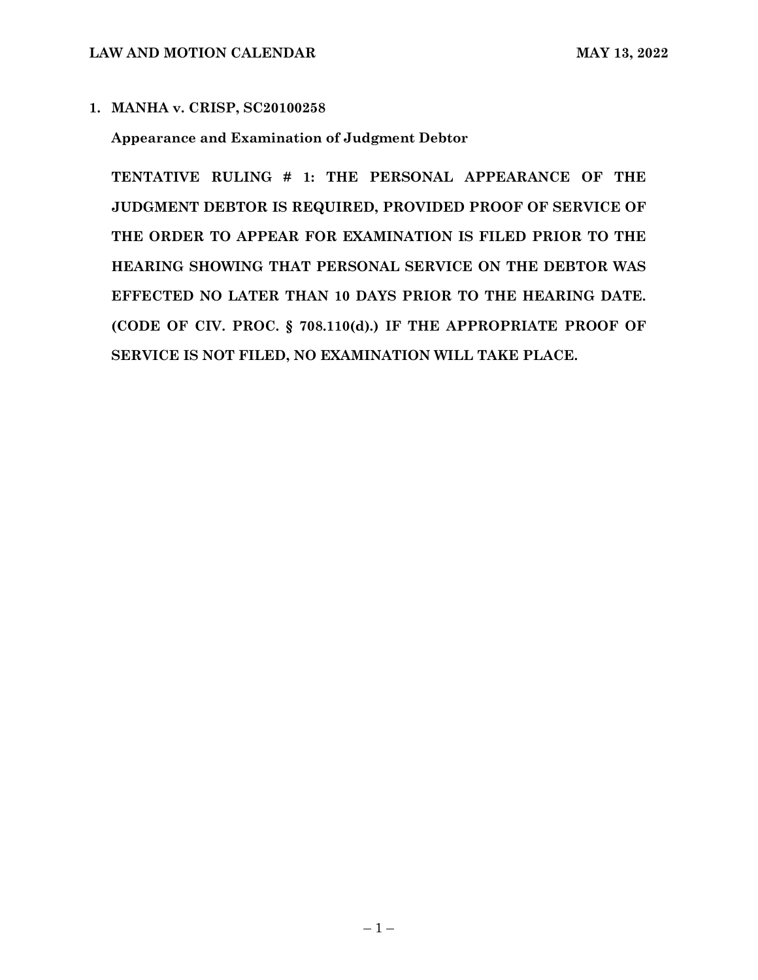# **1. MANHA v. CRISP, SC20100258**

## **Appearance and Examination of Judgment Debtor**

**TENTATIVE RULING # 1: THE PERSONAL APPEARANCE OF THE JUDGMENT DEBTOR IS REQUIRED, PROVIDED PROOF OF SERVICE OF THE ORDER TO APPEAR FOR EXAMINATION IS FILED PRIOR TO THE HEARING SHOWING THAT PERSONAL SERVICE ON THE DEBTOR WAS EFFECTED NO LATER THAN 10 DAYS PRIOR TO THE HEARING DATE. (CODE OF CIV. PROC. § 708.110(d).) IF THE APPROPRIATE PROOF OF SERVICE IS NOT FILED, NO EXAMINATION WILL TAKE PLACE.**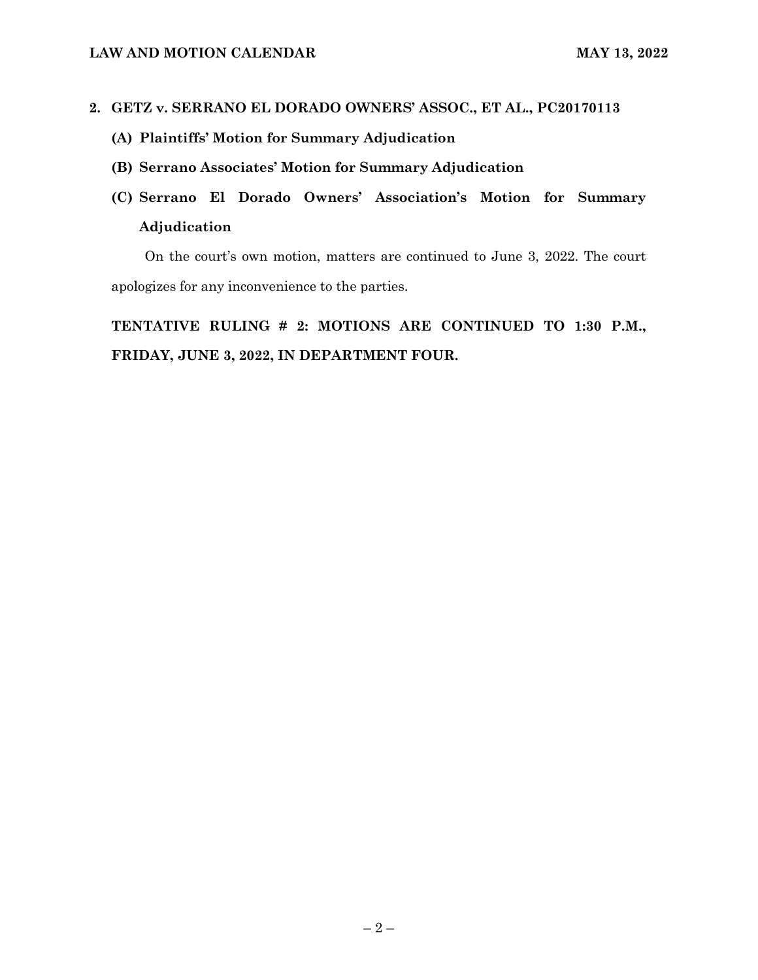### **2. GETZ v. SERRANO EL DORADO OWNERS' ASSOC., ET AL., PC20170113**

- **(A) Plaintiffs' Motion for Summary Adjudication**
- **(B) Serrano Associates' Motion for Summary Adjudication**
- **(C) Serrano El Dorado Owners' Association's Motion for Summary Adjudication**

On the court's own motion, matters are continued to June 3, 2022. The court apologizes for any inconvenience to the parties.

**TENTATIVE RULING # 2: MOTIONS ARE CONTINUED TO 1:30 P.M., FRIDAY, JUNE 3, 2022, IN DEPARTMENT FOUR.**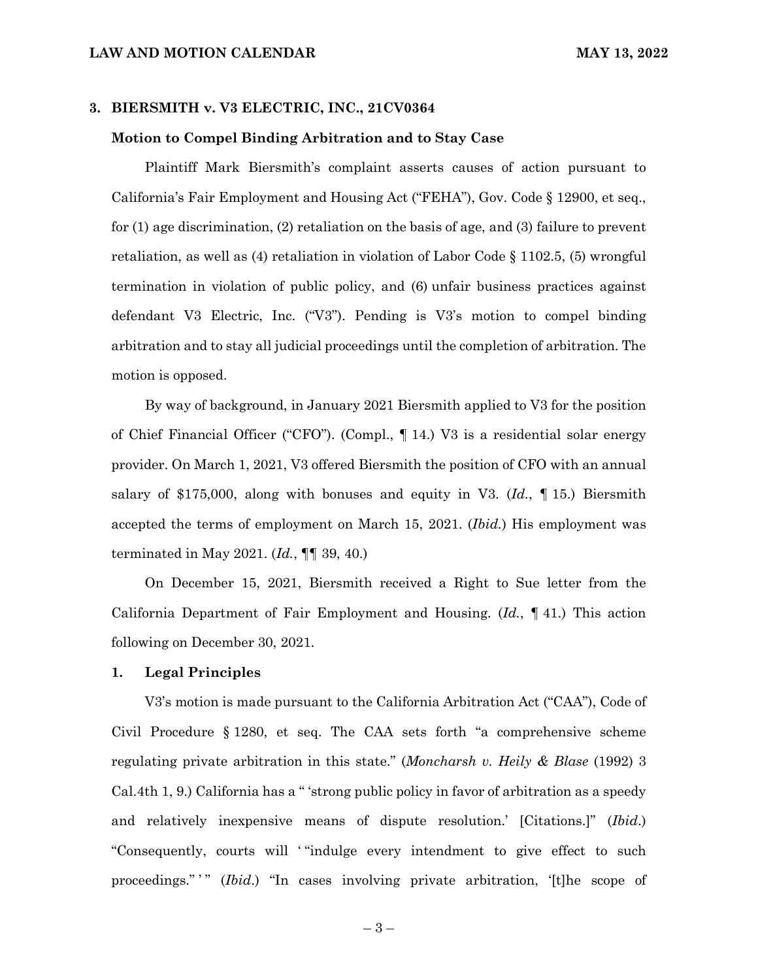### **3. BIERSMITH v. V3 ELECTRIC, INC., 21CV0364**

### **Motion to Compel Binding Arbitration and to Stay Case**

Plaintiff Mark Biersmith's complaint asserts causes of action pursuant to California's Fair Employment and Housing Act ("FEHA"), Gov. Code § 12900, et seq., for (1) age discrimination, (2) retaliation on the basis of age, and (3) failure to prevent retaliation, as well as (4) retaliation in violation of Labor Code § 1102.5, (5) wrongful termination in violation of public policy, and (6) unfair business practices against defendant V3 Electric, Inc. ("V3"). Pending is V3's motion to compel binding arbitration and to stay all judicial proceedings until the completion of arbitration. The motion is opposed.

By way of background, in January 2021 Biersmith applied to V3 for the position of Chief Financial Officer ("CFO"). (Compl., ¶ 14.) V3 is a residential solar energy provider. On March 1, 2021, V3 offered Biersmith the position of CFO with an annual salary of \$175,000, along with bonuses and equity in V3. (*Id.*, ¶ 15.) Biersmith accepted the terms of employment on March 15, 2021. (*Ibid.*) His employment was terminated in May 2021. (*Id.*, ¶¶ 39, 40.)

On December 15, 2021, Biersmith received a Right to Sue letter from the California Department of Fair Employment and Housing. (*Id.*, ¶ 41.) This action following on December 30, 2021.

### **1. Legal Principles**

V3's motion is made pursuant to the California Arbitration Act ("CAA"), Code of Civil Procedure § 1280, et seq. The CAA sets forth "a comprehensive scheme regulating private arbitration in this state." (*Moncharsh v. Heily & Blase* (1992) 3 Cal.4th 1, 9.) California has a " 'strong public policy in favor of arbitration as a speedy and relatively inexpensive means of dispute resolution.' [Citations.]" (*Ibid*.) "Consequently, courts will ' "indulge every intendment to give effect to such proceedings."" (*Ibid*.) "In cases involving private arbitration, '[t]he scope of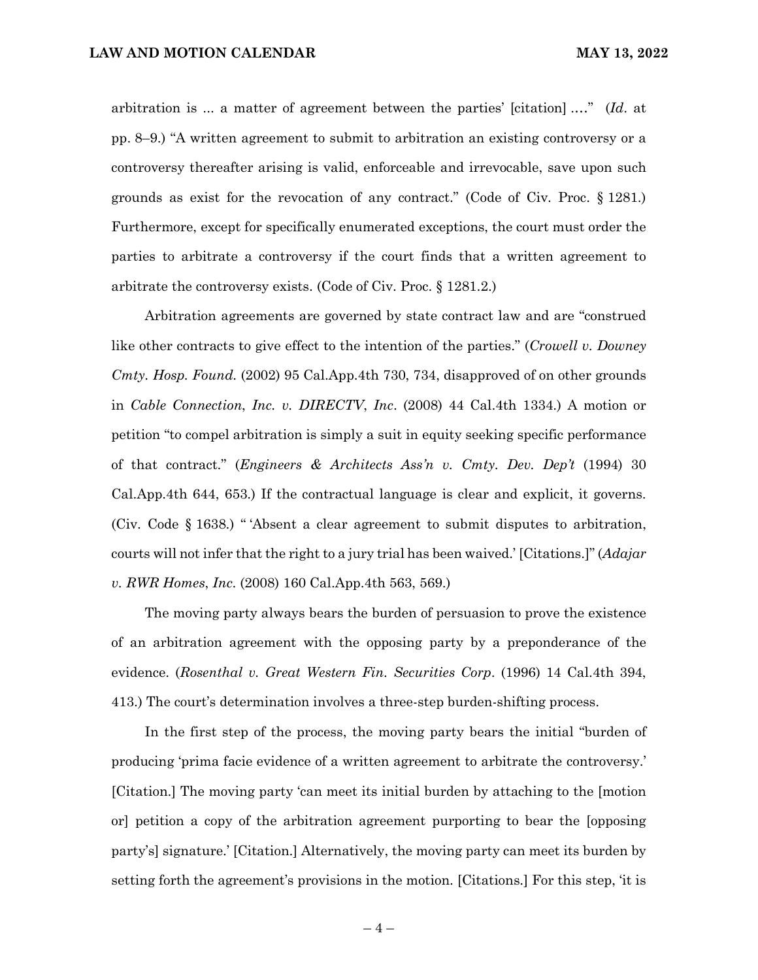arbitration is ... a matter of agreement between the parties' [citation] .…" (*Id*. at pp. 8–9.) "A written agreement to submit to arbitration an existing controversy or a controversy thereafter arising is valid, enforceable and irrevocable, save upon such grounds as exist for the revocation of any contract." (Code of Civ. Proc. § 1281.) Furthermore, except for specifically enumerated exceptions, the court must order the parties to arbitrate a controversy if the court finds that a written agreement to arbitrate the controversy exists. (Code of Civ. Proc. § 1281.2.)

Arbitration agreements are governed by state contract law and are "construed like other contracts to give effect to the intention of the parties." (*Crowell v. Downey Cmty. Hosp. Found.* (2002) 95 Cal.App.4th 730, 734, disapproved of on other grounds in *Cable Connection*, *Inc. v. DIRECTV*, *Inc*. (2008) 44 Cal.4th 1334.) A motion or petition "to compel arbitration is simply a suit in equity seeking specific performance of that contract." (*Engineers & Architects Ass'n v. Cmty. Dev. Dep't* (1994) 30 Cal.App.4th 644, 653.) If the contractual language is clear and explicit, it governs. (Civ. Code § 1638.) " 'Absent a clear agreement to submit disputes to arbitration, courts will not infer that the right to a jury trial has been waived.' [Citations.]" (*Adajar v. RWR Homes*, *Inc*. (2008) 160 Cal.App.4th 563, 569.)

The moving party always bears the burden of persuasion to prove the existence of an arbitration agreement with the opposing party by a preponderance of the evidence. (*Rosenthal v. Great Western Fin. Securities Corp*. (1996) 14 Cal.4th 394, 413.) The court's determination involves a three-step burden-shifting process.

In the first step of the process, the moving party bears the initial "burden of producing 'prima facie evidence of a written agreement to arbitrate the controversy.' [Citation.] The moving party 'can meet its initial burden by attaching to the [motion or] petition a copy of the arbitration agreement purporting to bear the [opposing party's] signature.' [Citation.] Alternatively, the moving party can meet its burden by setting forth the agreement's provisions in the motion. [Citations.] For this step, 'it is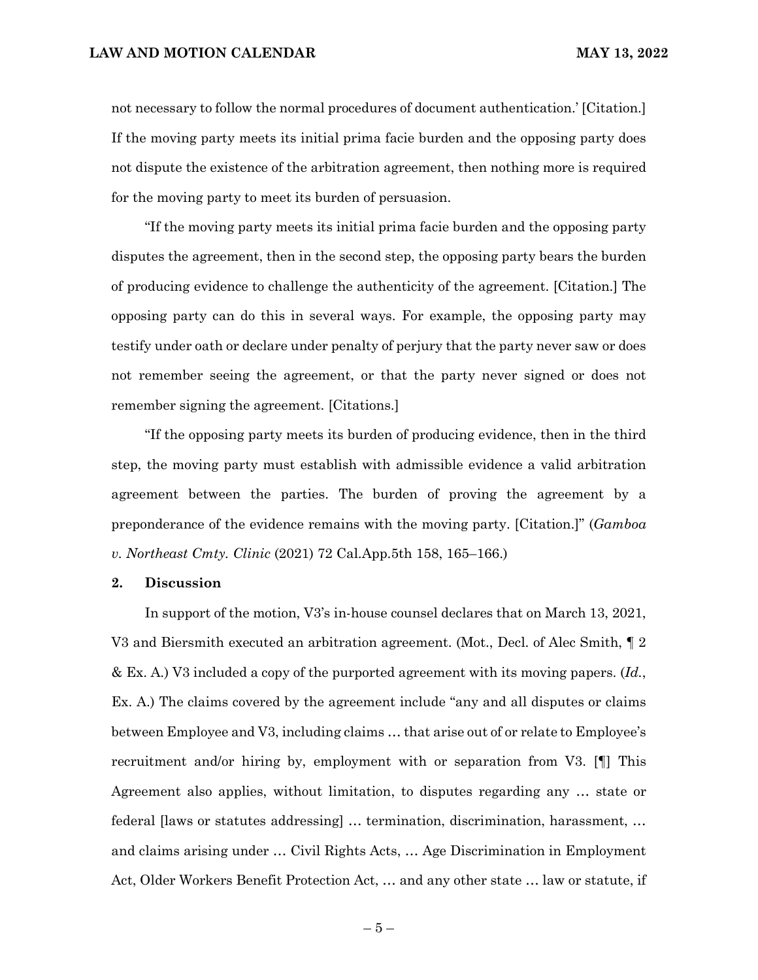not necessary to follow the normal procedures of document authentication.' [Citation.] If the moving party meets its initial prima facie burden and the opposing party does not dispute the existence of the arbitration agreement, then nothing more is required for the moving party to meet its burden of persuasion.

"If the moving party meets its initial prima facie burden and the opposing party disputes the agreement, then in the second step, the opposing party bears the burden of producing evidence to challenge the authenticity of the agreement. [Citation.] The opposing party can do this in several ways. For example, the opposing party may testify under oath or declare under penalty of perjury that the party never saw or does not remember seeing the agreement, or that the party never signed or does not remember signing the agreement. [Citations.]

"If the opposing party meets its burden of producing evidence, then in the third step, the moving party must establish with admissible evidence a valid arbitration agreement between the parties. The burden of proving the agreement by a preponderance of the evidence remains with the moving party. [Citation.]" (*Gamboa v. Northeast Cmty. Clinic* (2021) 72 Cal.App.5th 158, 165–166.)

#### **2. Discussion**

In support of the motion, V3's in-house counsel declares that on March 13, 2021, V3 and Biersmith executed an arbitration agreement. (Mot., Decl. of Alec Smith, ¶ 2 & Ex. A.) V3 included a copy of the purported agreement with its moving papers. (*Id.*, Ex. A.) The claims covered by the agreement include "any and all disputes or claims between Employee and V3, including claims … that arise out of or relate to Employee's recruitment and/or hiring by, employment with or separation from V3. [¶] This Agreement also applies, without limitation, to disputes regarding any … state or federal [laws or statutes addressing] … termination, discrimination, harassment, … and claims arising under … Civil Rights Acts, … Age Discrimination in Employment Act, Older Workers Benefit Protection Act, … and any other state … law or statute, if

 $-5-$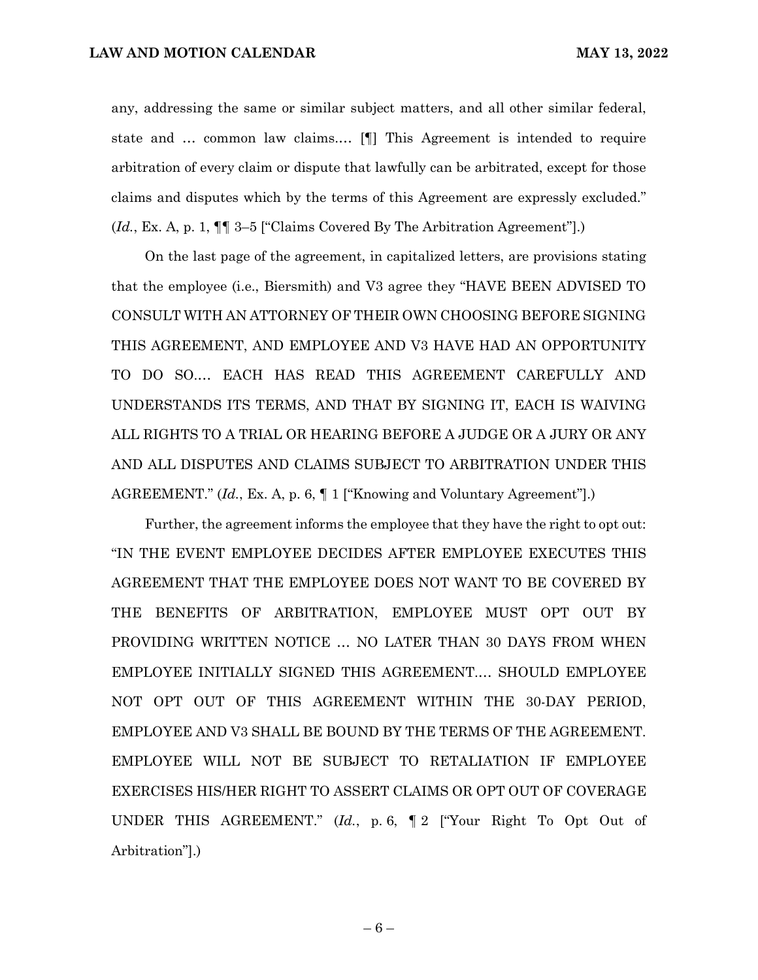any, addressing the same or similar subject matters, and all other similar federal, state and … common law claims.… [¶] This Agreement is intended to require arbitration of every claim or dispute that lawfully can be arbitrated, except for those claims and disputes which by the terms of this Agreement are expressly excluded." (*Id.*, Ex. A, p. 1, ¶¶ 3–5 ["Claims Covered By The Arbitration Agreement"].)

On the last page of the agreement, in capitalized letters, are provisions stating that the employee (i.e., Biersmith) and V3 agree they "HAVE BEEN ADVISED TO CONSULT WITH AN ATTORNEY OF THEIR OWN CHOOSING BEFORE SIGNING THIS AGREEMENT, AND EMPLOYEE AND V3 HAVE HAD AN OPPORTUNITY TO DO SO.… EACH HAS READ THIS AGREEMENT CAREFULLY AND UNDERSTANDS ITS TERMS, AND THAT BY SIGNING IT, EACH IS WAIVING ALL RIGHTS TO A TRIAL OR HEARING BEFORE A JUDGE OR A JURY OR ANY AND ALL DISPUTES AND CLAIMS SUBJECT TO ARBITRATION UNDER THIS AGREEMENT." (*Id.*, Ex. A, p. 6, ¶ 1 ["Knowing and Voluntary Agreement"].)

Further, the agreement informs the employee that they have the right to opt out: "IN THE EVENT EMPLOYEE DECIDES AFTER EMPLOYEE EXECUTES THIS AGREEMENT THAT THE EMPLOYEE DOES NOT WANT TO BE COVERED BY THE BENEFITS OF ARBITRATION, EMPLOYEE MUST OPT OUT BY PROVIDING WRITTEN NOTICE … NO LATER THAN 30 DAYS FROM WHEN EMPLOYEE INITIALLY SIGNED THIS AGREEMENT.… SHOULD EMPLOYEE NOT OPT OUT OF THIS AGREEMENT WITHIN THE 30-DAY PERIOD, EMPLOYEE AND V3 SHALL BE BOUND BY THE TERMS OF THE AGREEMENT. EMPLOYEE WILL NOT BE SUBJECT TO RETALIATION IF EMPLOYEE EXERCISES HIS/HER RIGHT TO ASSERT CLAIMS OR OPT OUT OF COVERAGE UNDER THIS AGREEMENT." (*Id.*, p. 6, ¶ 2 ["Your Right To Opt Out of Arbitration"].)

 $-6-$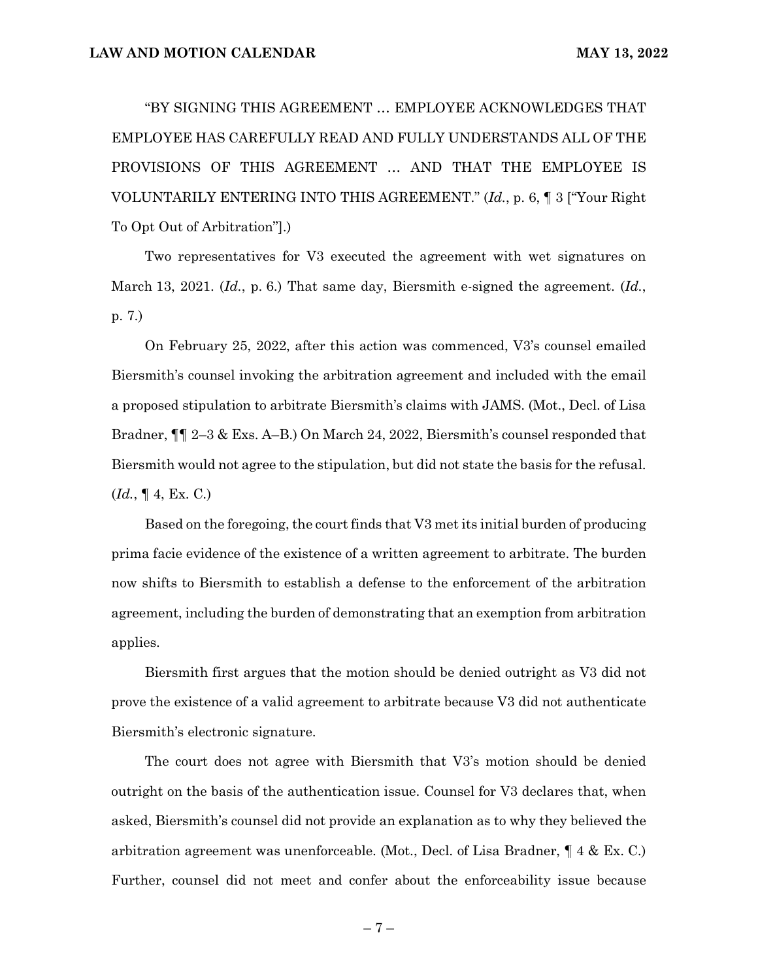"BY SIGNING THIS AGREEMENT … EMPLOYEE ACKNOWLEDGES THAT EMPLOYEE HAS CAREFULLY READ AND FULLY UNDERSTANDS ALL OF THE PROVISIONS OF THIS AGREEMENT … AND THAT THE EMPLOYEE IS VOLUNTARILY ENTERING INTO THIS AGREEMENT." (*Id.*, p. 6, ¶ 3 ["Your Right To Opt Out of Arbitration"].)

Two representatives for V3 executed the agreement with wet signatures on March 13, 2021. (*Id.*, p. 6.) That same day, Biersmith e-signed the agreement. (*Id.*, p. 7.)

On February 25, 2022, after this action was commenced, V3's counsel emailed Biersmith's counsel invoking the arbitration agreement and included with the email a proposed stipulation to arbitrate Biersmith's claims with JAMS. (Mot., Decl. of Lisa Bradner, ¶¶ 2–3 & Exs. A–B.) On March 24, 2022, Biersmith's counsel responded that Biersmith would not agree to the stipulation, but did not state the basis for the refusal. (*Id.*, ¶ 4, Ex. C.)

Based on the foregoing, the court finds that V3 met its initial burden of producing prima facie evidence of the existence of a written agreement to arbitrate. The burden now shifts to Biersmith to establish a defense to the enforcement of the arbitration agreement, including the burden of demonstrating that an exemption from arbitration applies.

Biersmith first argues that the motion should be denied outright as V3 did not prove the existence of a valid agreement to arbitrate because V3 did not authenticate Biersmith's electronic signature.

The court does not agree with Biersmith that V3's motion should be denied outright on the basis of the authentication issue. Counsel for V3 declares that, when asked, Biersmith's counsel did not provide an explanation as to why they believed the arbitration agreement was unenforceable. (Mot., Decl. of Lisa Bradner, ¶ 4 & Ex. C.) Further, counsel did not meet and confer about the enforceability issue because

 $-7-$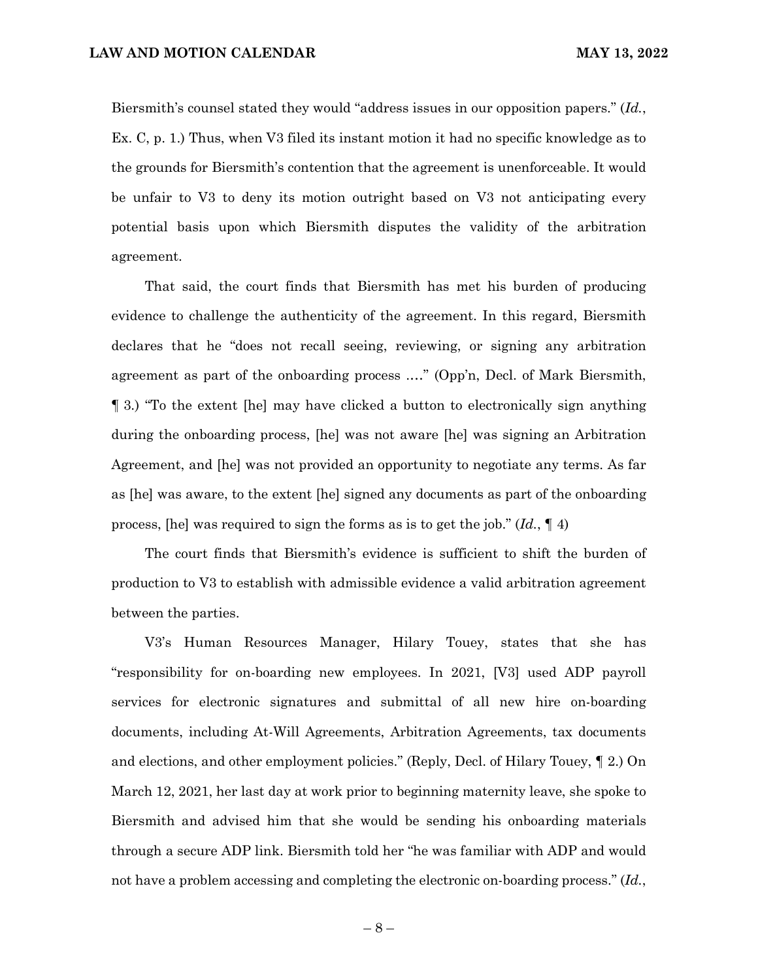Biersmith's counsel stated they would "address issues in our opposition papers." (*Id.*, Ex. C, p. 1.) Thus, when V3 filed its instant motion it had no specific knowledge as to the grounds for Biersmith's contention that the agreement is unenforceable. It would be unfair to V3 to deny its motion outright based on V3 not anticipating every potential basis upon which Biersmith disputes the validity of the arbitration agreement.

That said, the court finds that Biersmith has met his burden of producing evidence to challenge the authenticity of the agreement. In this regard, Biersmith declares that he "does not recall seeing, reviewing, or signing any arbitration agreement as part of the onboarding process .…" (Opp'n, Decl. of Mark Biersmith, ¶ 3.) "To the extent [he] may have clicked a button to electronically sign anything during the onboarding process, [he] was not aware [he] was signing an Arbitration Agreement, and [he] was not provided an opportunity to negotiate any terms. As far as [he] was aware, to the extent [he] signed any documents as part of the onboarding process, [he] was required to sign the forms as is to get the job." (*Id.*, ¶ 4)

The court finds that Biersmith's evidence is sufficient to shift the burden of production to V3 to establish with admissible evidence a valid arbitration agreement between the parties.

V3's Human Resources Manager, Hilary Touey, states that she has "responsibility for on-boarding new employees. In 2021, [V3] used ADP payroll services for electronic signatures and submittal of all new hire on-boarding documents, including At-Will Agreements, Arbitration Agreements, tax documents and elections, and other employment policies." (Reply, Decl. of Hilary Touey, ¶ 2.) On March 12, 2021, her last day at work prior to beginning maternity leave, she spoke to Biersmith and advised him that she would be sending his onboarding materials through a secure ADP link. Biersmith told her "he was familiar with ADP and would not have a problem accessing and completing the electronic on-boarding process." (*Id.*,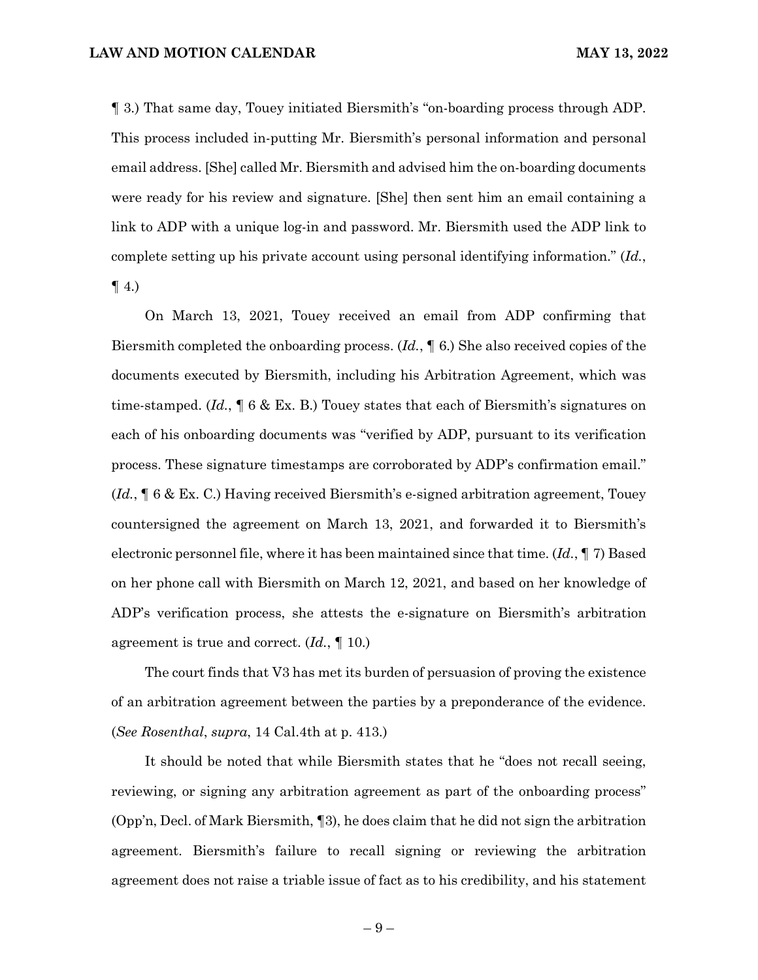¶ 3.) That same day, Touey initiated Biersmith's "on-boarding process through ADP. This process included in-putting Mr. Biersmith's personal information and personal email address. [She] called Mr. Biersmith and advised him the on-boarding documents were ready for his review and signature. [She] then sent him an email containing a link to ADP with a unique log-in and password. Mr. Biersmith used the ADP link to complete setting up his private account using personal identifying information." (*Id.*,  $\P$  4.)

On March 13, 2021, Touey received an email from ADP confirming that Biersmith completed the onboarding process. (*Id.*, ¶ 6.) She also received copies of the documents executed by Biersmith, including his Arbitration Agreement, which was time-stamped. (*Id.*, ¶ 6 & Ex. B.) Touey states that each of Biersmith's signatures on each of his onboarding documents was "verified by ADP, pursuant to its verification process. These signature timestamps are corroborated by ADP's confirmation email." (*Id.*, ¶ 6 & Ex. C.) Having received Biersmith's e-signed arbitration agreement, Touey countersigned the agreement on March 13, 2021, and forwarded it to Biersmith's electronic personnel file, where it has been maintained since that time. (*Id.*, ¶ 7) Based on her phone call with Biersmith on March 12, 2021, and based on her knowledge of ADP's verification process, she attests the e-signature on Biersmith's arbitration agreement is true and correct. (*Id.*, ¶ 10.)

The court finds that V3 has met its burden of persuasion of proving the existence of an arbitration agreement between the parties by a preponderance of the evidence. (*See Rosenthal*, *supra*, 14 Cal.4th at p. 413.)

It should be noted that while Biersmith states that he "does not recall seeing, reviewing, or signing any arbitration agreement as part of the onboarding process" (Opp'n, Decl. of Mark Biersmith, ¶3), he does claim that he did not sign the arbitration agreement. Biersmith's failure to recall signing or reviewing the arbitration agreement does not raise a triable issue of fact as to his credibility, and his statement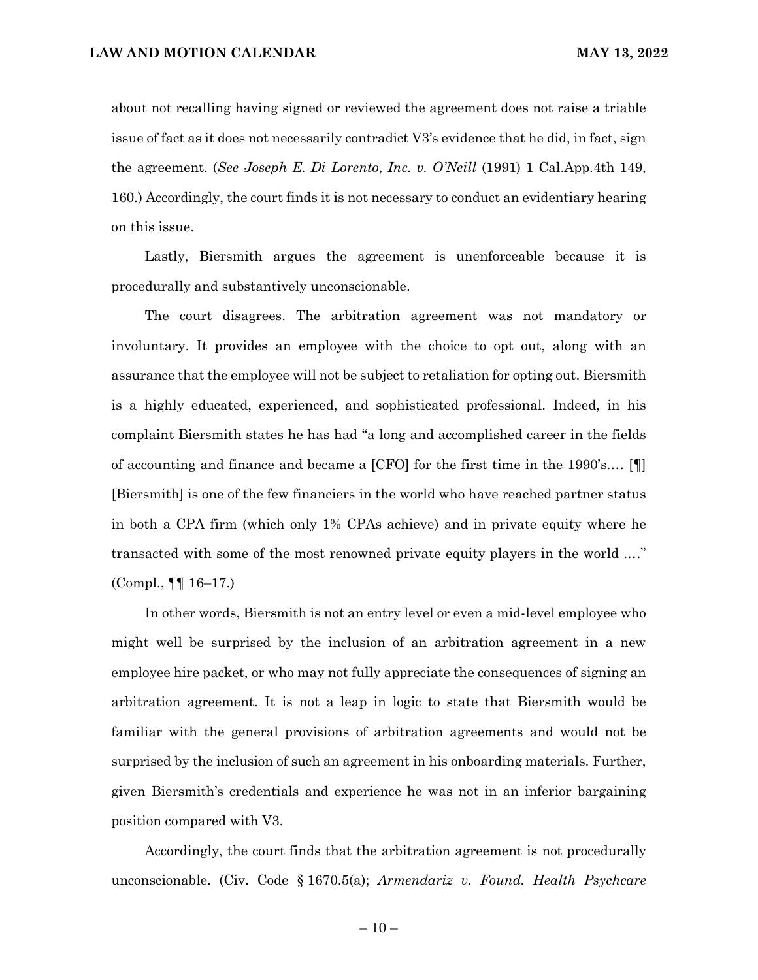about not recalling having signed or reviewed the agreement does not raise a triable issue of fact as it does not necessarily contradict V3's evidence that he did, in fact, sign the agreement. (*See Joseph E. Di Lorento*, *Inc. v. O'Neill* (1991) 1 Cal.App.4th 149, 160.) Accordingly, the court finds it is not necessary to conduct an evidentiary hearing on this issue.

Lastly, Biersmith argues the agreement is unenforceable because it is procedurally and substantively unconscionable.

The court disagrees. The arbitration agreement was not mandatory or involuntary. It provides an employee with the choice to opt out, along with an assurance that the employee will not be subject to retaliation for opting out. Biersmith is a highly educated, experienced, and sophisticated professional. Indeed, in his complaint Biersmith states he has had "a long and accomplished career in the fields of accounting and finance and became a [CFO] for the first time in the 1990's.… [¶] [Biersmith] is one of the few financiers in the world who have reached partner status in both a CPA firm (which only 1% CPAs achieve) and in private equity where he transacted with some of the most renowned private equity players in the world .…" (Compl., ¶¶ 16–17.)

In other words, Biersmith is not an entry level or even a mid-level employee who might well be surprised by the inclusion of an arbitration agreement in a new employee hire packet, or who may not fully appreciate the consequences of signing an arbitration agreement. It is not a leap in logic to state that Biersmith would be familiar with the general provisions of arbitration agreements and would not be surprised by the inclusion of such an agreement in his onboarding materials. Further, given Biersmith's credentials and experience he was not in an inferior bargaining position compared with V3.

Accordingly, the court finds that the arbitration agreement is not procedurally unconscionable. (Civ. Code § 1670.5(a); *Armendariz v. Found. Health Psychcare*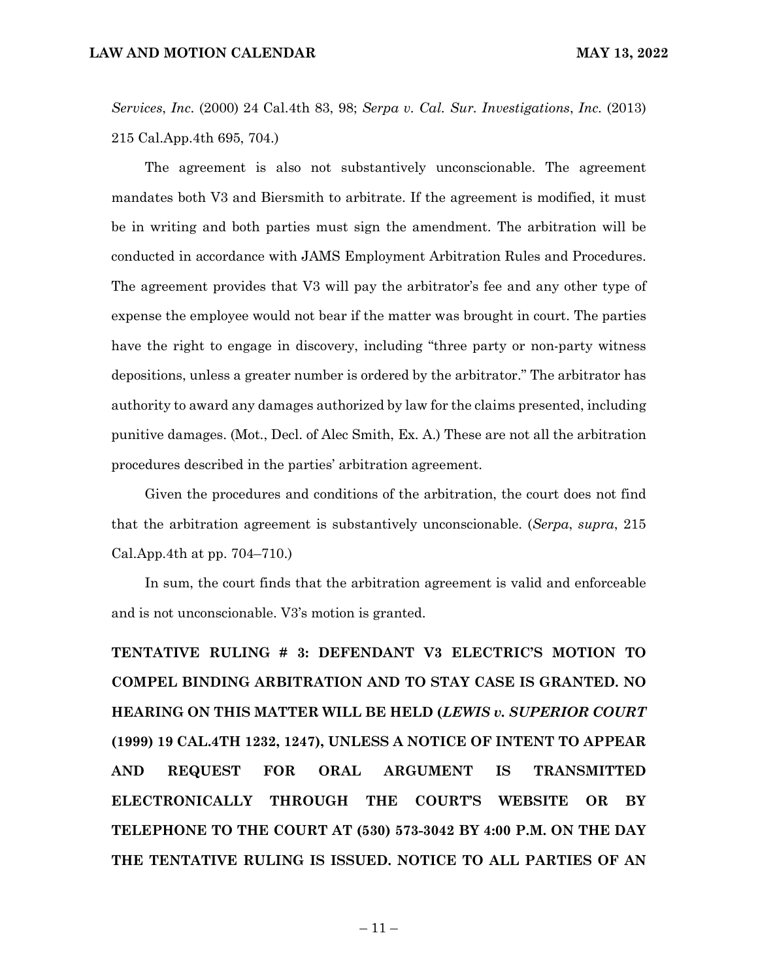*Services*, *Inc.* (2000) 24 Cal.4th 83, 98; *Serpa v. Cal. Sur. Investigations*, *Inc.* (2013) 215 Cal.App.4th 695, 704.)

The agreement is also not substantively unconscionable. The agreement mandates both V3 and Biersmith to arbitrate. If the agreement is modified, it must be in writing and both parties must sign the amendment. The arbitration will be conducted in accordance with JAMS Employment Arbitration Rules and Procedures. The agreement provides that V3 will pay the arbitrator's fee and any other type of expense the employee would not bear if the matter was brought in court. The parties have the right to engage in discovery, including "three party or non-party witness depositions, unless a greater number is ordered by the arbitrator." The arbitrator has authority to award any damages authorized by law for the claims presented, including punitive damages. (Mot., Decl. of Alec Smith, Ex. A.) These are not all the arbitration procedures described in the parties' arbitration agreement.

Given the procedures and conditions of the arbitration, the court does not find that the arbitration agreement is substantively unconscionable. (*Serpa*, *supra*, 215 Cal.App.4th at pp. 704–710.)

In sum, the court finds that the arbitration agreement is valid and enforceable and is not unconscionable. V3's motion is granted.

**TENTATIVE RULING # 3: DEFENDANT V3 ELECTRIC'S MOTION TO COMPEL BINDING ARBITRATION AND TO STAY CASE IS GRANTED. NO HEARING ON THIS MATTER WILL BE HELD (***LEWIS v. SUPERIOR COURT* **(1999) 19 CAL.4TH 1232, 1247), UNLESS A NOTICE OF INTENT TO APPEAR AND REQUEST FOR ORAL ARGUMENT IS TRANSMITTED ELECTRONICALLY THROUGH THE COURT'S WEBSITE OR BY TELEPHONE TO THE COURT AT (530) 573-3042 BY 4:00 P.M. ON THE DAY THE TENTATIVE RULING IS ISSUED. NOTICE TO ALL PARTIES OF AN**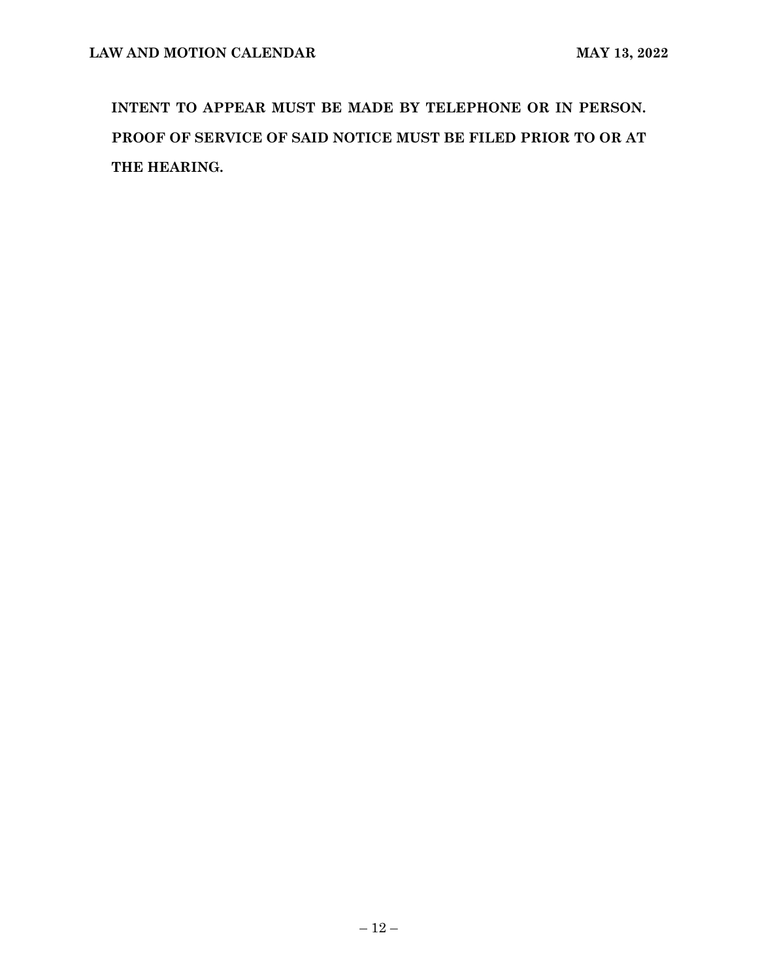**INTENT TO APPEAR MUST BE MADE BY TELEPHONE OR IN PERSON. PROOF OF SERVICE OF SAID NOTICE MUST BE FILED PRIOR TO OR AT THE HEARING.**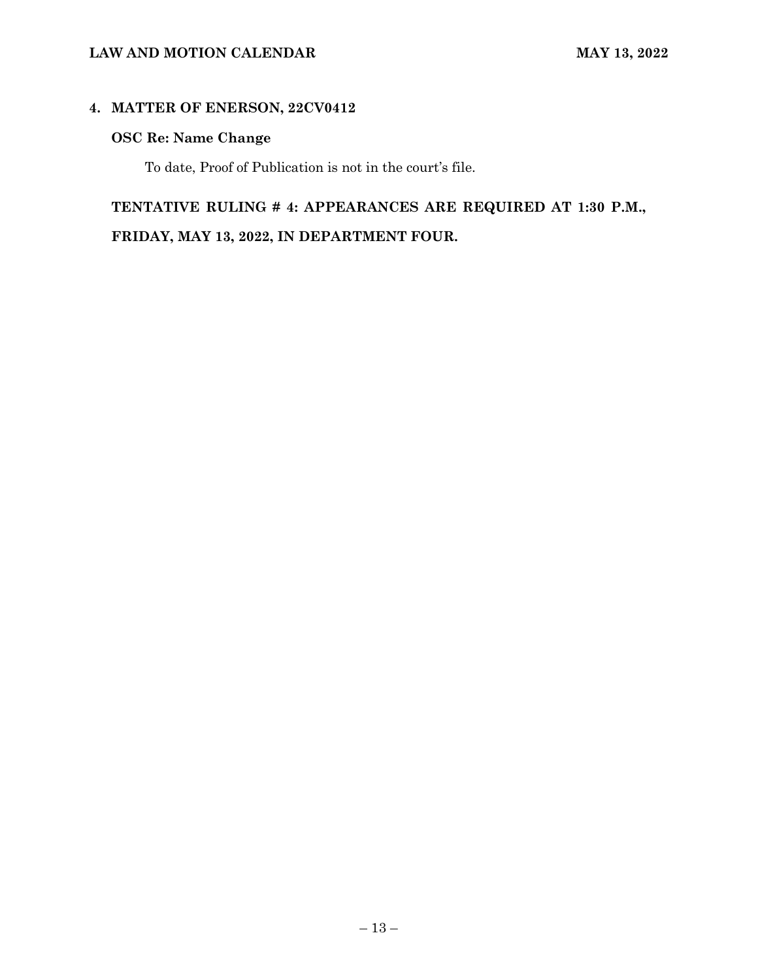# **LAW AND MOTION CALENDAR MAY 13, 2022**

# **4. MATTER OF ENERSON, 22CV0412**

# **OSC Re: Name Change**

To date, Proof of Publication is not in the court's file.

# **TENTATIVE RULING # 4: APPEARANCES ARE REQUIRED AT 1:30 P.M.,**

**FRIDAY, MAY 13, 2022, IN DEPARTMENT FOUR.**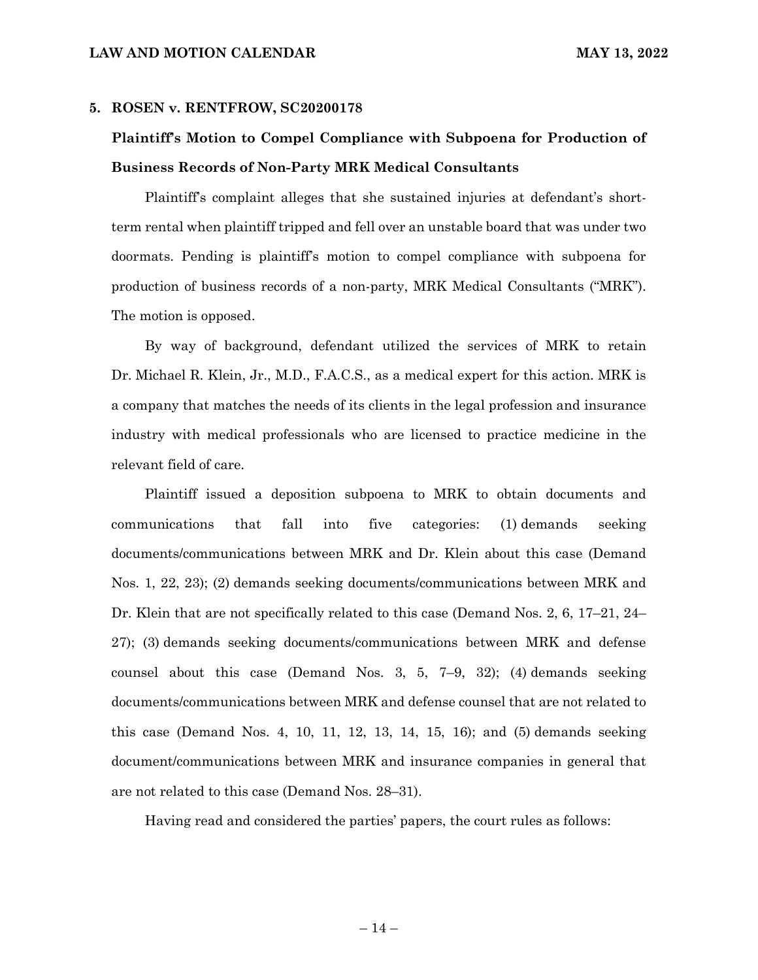### **5. ROSEN v. RENTFROW, SC20200178**

# **Plaintiff's Motion to Compel Compliance with Subpoena for Production of Business Records of Non-Party MRK Medical Consultants**

Plaintiff's complaint alleges that she sustained injuries at defendant's shortterm rental when plaintiff tripped and fell over an unstable board that was under two doormats. Pending is plaintiff's motion to compel compliance with subpoena for production of business records of a non-party, MRK Medical Consultants ("MRK"). The motion is opposed.

By way of background, defendant utilized the services of MRK to retain Dr. Michael R. Klein, Jr., M.D., F.A.C.S., as a medical expert for this action. MRK is a company that matches the needs of its clients in the legal profession and insurance industry with medical professionals who are licensed to practice medicine in the relevant field of care.

Plaintiff issued a deposition subpoena to MRK to obtain documents and communications that fall into five categories: (1) demands seeking documents/communications between MRK and Dr. Klein about this case (Demand Nos. 1, 22, 23); (2) demands seeking documents/communications between MRK and Dr. Klein that are not specifically related to this case (Demand Nos. 2, 6, 17–21, 24– 27); (3) demands seeking documents/communications between MRK and defense counsel about this case (Demand Nos. 3, 5, 7–9, 32); (4) demands seeking documents/communications between MRK and defense counsel that are not related to this case (Demand Nos. 4, 10, 11, 12, 13, 14, 15, 16); and (5) demands seeking document/communications between MRK and insurance companies in general that are not related to this case (Demand Nos. 28–31).

Having read and considered the parties' papers, the court rules as follows: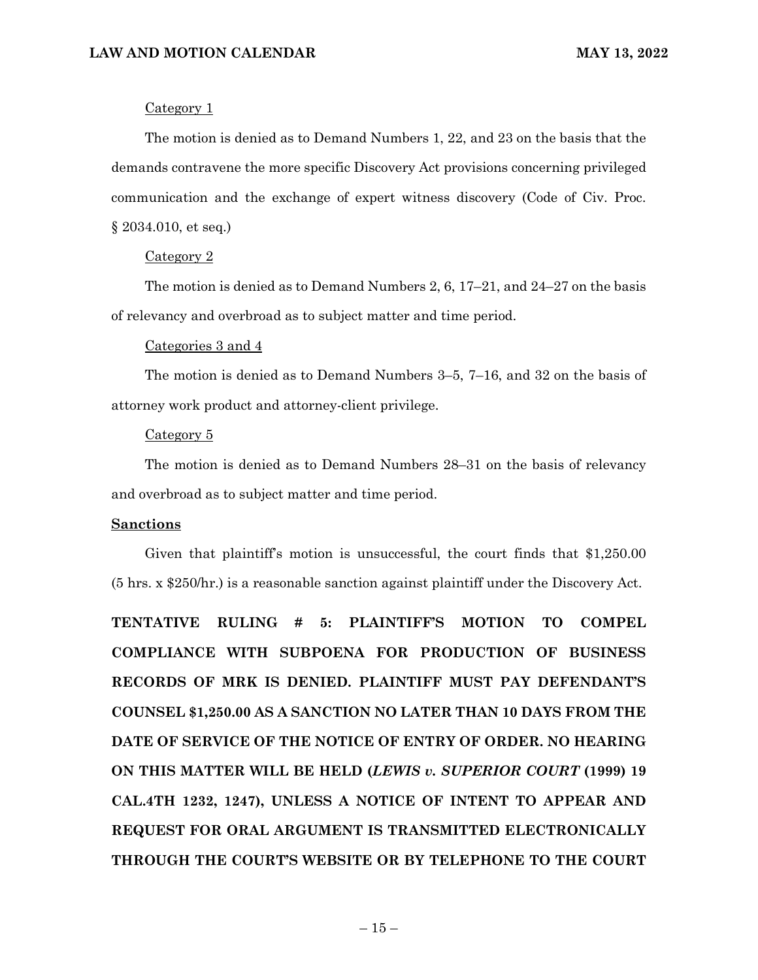### Category 1

The motion is denied as to Demand Numbers 1, 22, and 23 on the basis that the demands contravene the more specific Discovery Act provisions concerning privileged communication and the exchange of expert witness discovery (Code of Civ. Proc. § 2034.010, et seq.)

### Category 2

The motion is denied as to Demand Numbers 2, 6,  $17-21$ , and  $24-27$  on the basis of relevancy and overbroad as to subject matter and time period.

### Categories 3 and 4

The motion is denied as to Demand Numbers 3–5, 7–16, and 32 on the basis of attorney work product and attorney-client privilege.

### Category 5

The motion is denied as to Demand Numbers 28–31 on the basis of relevancy and overbroad as to subject matter and time period.

### **Sanctions**

Given that plaintiff's motion is unsuccessful, the court finds that \$1,250.00 (5 hrs. x \$250/hr.) is a reasonable sanction against plaintiff under the Discovery Act.

**TENTATIVE RULING # 5: PLAINTIFF'S MOTION TO COMPEL COMPLIANCE WITH SUBPOENA FOR PRODUCTION OF BUSINESS RECORDS OF MRK IS DENIED. PLAINTIFF MUST PAY DEFENDANT'S COUNSEL \$1,250.00 AS A SANCTION NO LATER THAN 10 DAYS FROM THE DATE OF SERVICE OF THE NOTICE OF ENTRY OF ORDER. NO HEARING ON THIS MATTER WILL BE HELD (***LEWIS v. SUPERIOR COURT* **(1999) 19 CAL.4TH 1232, 1247), UNLESS A NOTICE OF INTENT TO APPEAR AND REQUEST FOR ORAL ARGUMENT IS TRANSMITTED ELECTRONICALLY THROUGH THE COURT'S WEBSITE OR BY TELEPHONE TO THE COURT**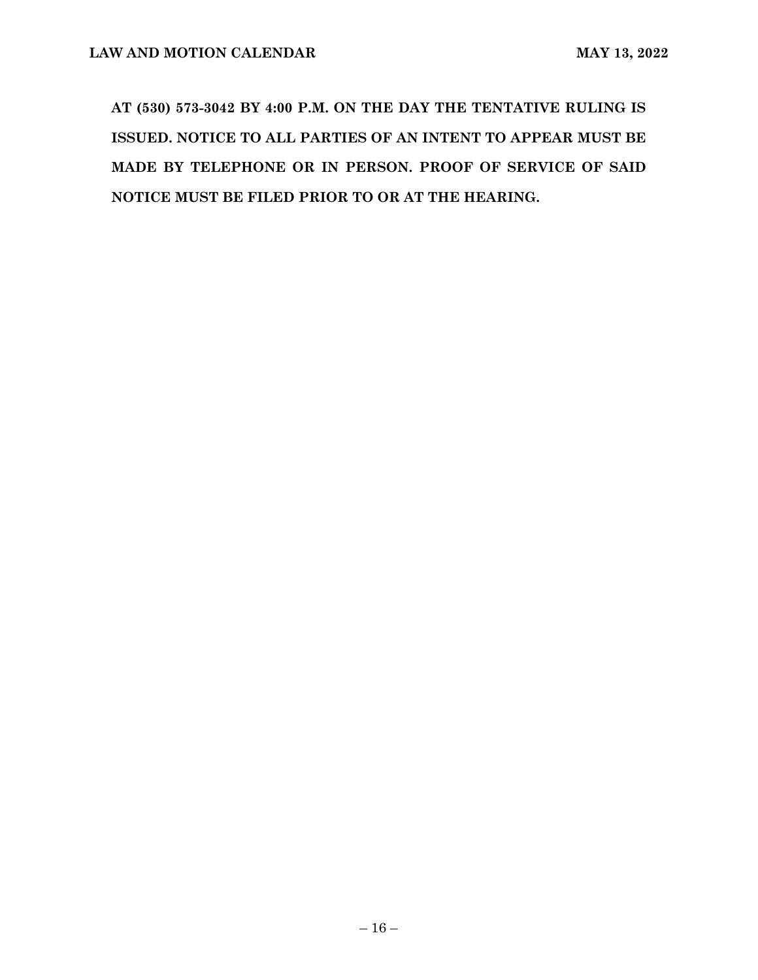**AT (530) 573-3042 BY 4:00 P.M. ON THE DAY THE TENTATIVE RULING IS ISSUED. NOTICE TO ALL PARTIES OF AN INTENT TO APPEAR MUST BE MADE BY TELEPHONE OR IN PERSON. PROOF OF SERVICE OF SAID NOTICE MUST BE FILED PRIOR TO OR AT THE HEARING.**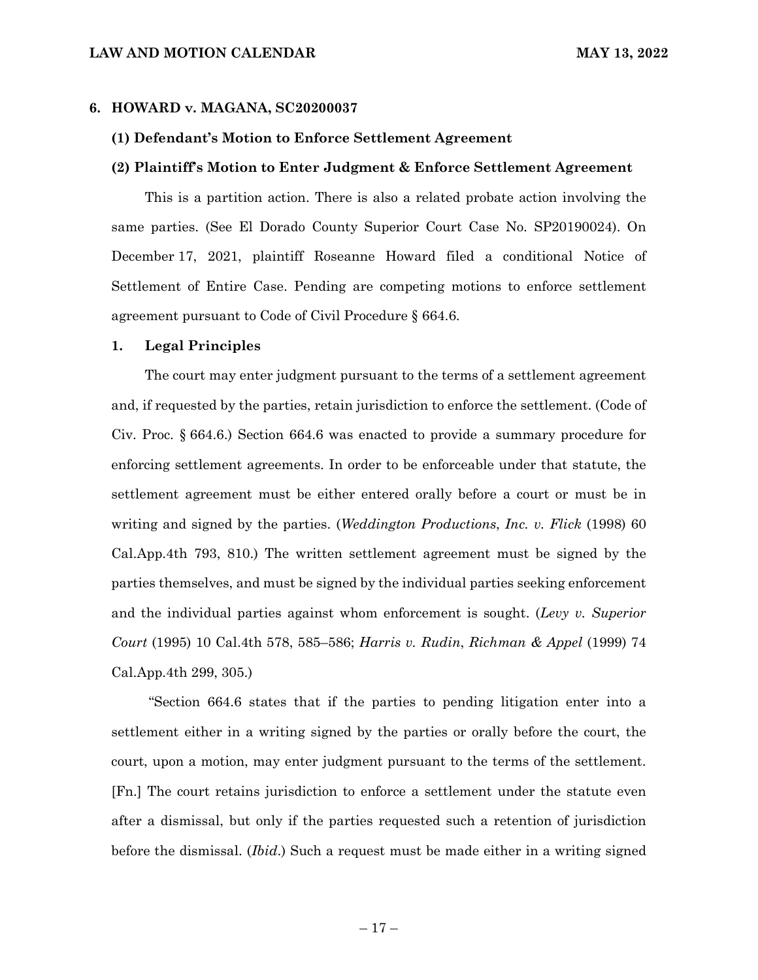### **6. HOWARD v. MAGANA, SC20200037**

### **(1) Defendant's Motion to Enforce Settlement Agreement**

### **(2) Plaintiff's Motion to Enter Judgment & Enforce Settlement Agreement**

This is a partition action. There is also a related probate action involving the same parties. (See El Dorado County Superior Court Case No. SP20190024). On December 17, 2021, plaintiff Roseanne Howard filed a conditional Notice of Settlement of Entire Case. Pending are competing motions to enforce settlement agreement pursuant to Code of Civil Procedure § 664.6.

### **1. Legal Principles**

The court may enter judgment pursuant to the terms of a settlement agreement and, if requested by the parties, retain jurisdiction to enforce the settlement. (Code of Civ. Proc. § 664.6.) Section 664.6 was enacted to provide a summary procedure for enforcing settlement agreements. In order to be enforceable under that statute, the settlement agreement must be either entered orally before a court or must be in writing and signed by the parties. (*Weddington Productions*, *Inc. v. Flick* (1998) 60 Cal.App.4th 793, 810.) The written settlement agreement must be signed by the parties themselves, and must be signed by the individual parties seeking enforcement and the individual parties against whom enforcement is sought. (*Levy v. Superior Court* (1995) 10 Cal.4th 578, 585–586; *Harris v. Rudin*, *Richman & Appel* (1999) 74 Cal.App.4th 299, 305.)

"Section 664.6 states that if the parties to pending litigation enter into a settlement either in a writing signed by the parties or orally before the court, the court, upon a motion, may enter judgment pursuant to the terms of the settlement. [Fn.] The court retains jurisdiction to enforce a settlement under the statute even after a dismissal, but only if the parties requested such a retention of jurisdiction before the dismissal. (*Ibid*.) Such a request must be made either in a writing signed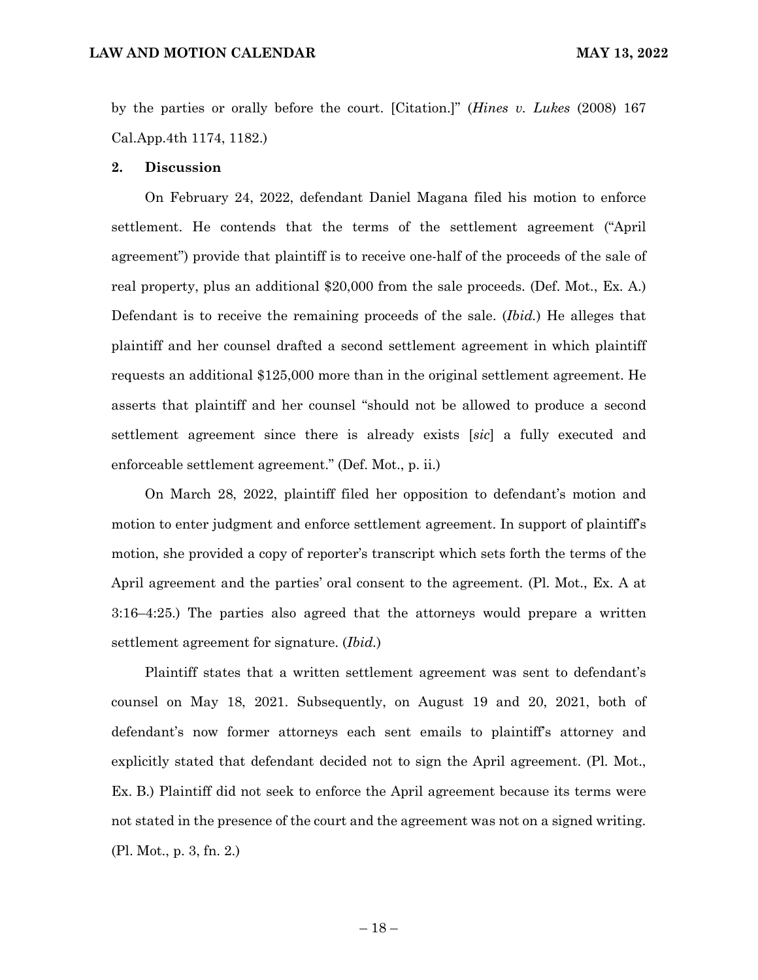by the parties or orally before the court. [Citation.]" (*Hines v. Lukes* (2008) 167 Cal.App.4th 1174, 1182.)

### **2. Discussion**

On February 24, 2022, defendant Daniel Magana filed his motion to enforce settlement. He contends that the terms of the settlement agreement ("April agreement") provide that plaintiff is to receive one-half of the proceeds of the sale of real property, plus an additional \$20,000 from the sale proceeds. (Def. Mot., Ex. A.) Defendant is to receive the remaining proceeds of the sale. (*Ibid.*) He alleges that plaintiff and her counsel drafted a second settlement agreement in which plaintiff requests an additional \$125,000 more than in the original settlement agreement. He asserts that plaintiff and her counsel "should not be allowed to produce a second settlement agreement since there is already exists [*sic*] a fully executed and enforceable settlement agreement." (Def. Mot., p. ii.)

On March 28, 2022, plaintiff filed her opposition to defendant's motion and motion to enter judgment and enforce settlement agreement. In support of plaintiff's motion, she provided a copy of reporter's transcript which sets forth the terms of the April agreement and the parties' oral consent to the agreement. (Pl. Mot., Ex. A at 3:16–4:25.) The parties also agreed that the attorneys would prepare a written settlement agreement for signature. (*Ibid.*)

Plaintiff states that a written settlement agreement was sent to defendant's counsel on May 18, 2021. Subsequently, on August 19 and 20, 2021, both of defendant's now former attorneys each sent emails to plaintiff's attorney and explicitly stated that defendant decided not to sign the April agreement. (Pl. Mot., Ex. B.) Plaintiff did not seek to enforce the April agreement because its terms were not stated in the presence of the court and the agreement was not on a signed writing. (Pl. Mot., p. 3, fn. 2.)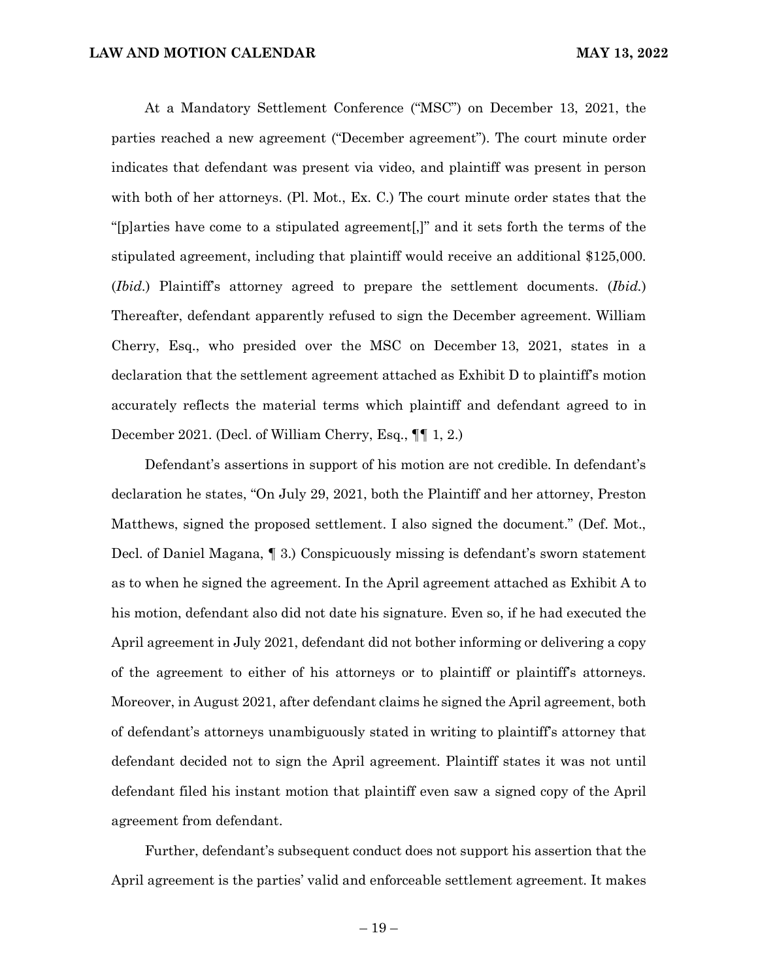At a Mandatory Settlement Conference ("MSC") on December 13, 2021, the parties reached a new agreement ("December agreement"). The court minute order indicates that defendant was present via video, and plaintiff was present in person with both of her attorneys. (Pl. Mot., Ex. C.) The court minute order states that the "[p]arties have come to a stipulated agreement[,]" and it sets forth the terms of the stipulated agreement, including that plaintiff would receive an additional \$125,000. (*Ibid.*) Plaintiff's attorney agreed to prepare the settlement documents. (*Ibid.*) Thereafter, defendant apparently refused to sign the December agreement. William Cherry, Esq., who presided over the MSC on December 13, 2021, states in a declaration that the settlement agreement attached as Exhibit D to plaintiff's motion accurately reflects the material terms which plaintiff and defendant agreed to in December 2021. (Decl. of William Cherry, Esq., ¶¶ 1, 2.)

Defendant's assertions in support of his motion are not credible. In defendant's declaration he states, "On July 29, 2021, both the Plaintiff and her attorney, Preston Matthews, signed the proposed settlement. I also signed the document." (Def. Mot., Decl. of Daniel Magana, ¶ 3.) Conspicuously missing is defendant's sworn statement as to when he signed the agreement. In the April agreement attached as Exhibit A to his motion, defendant also did not date his signature. Even so, if he had executed the April agreement in July 2021, defendant did not bother informing or delivering a copy of the agreement to either of his attorneys or to plaintiff or plaintiff's attorneys. Moreover, in August 2021, after defendant claims he signed the April agreement, both of defendant's attorneys unambiguously stated in writing to plaintiff's attorney that defendant decided not to sign the April agreement. Plaintiff states it was not until defendant filed his instant motion that plaintiff even saw a signed copy of the April agreement from defendant.

Further, defendant's subsequent conduct does not support his assertion that the April agreement is the parties' valid and enforceable settlement agreement. It makes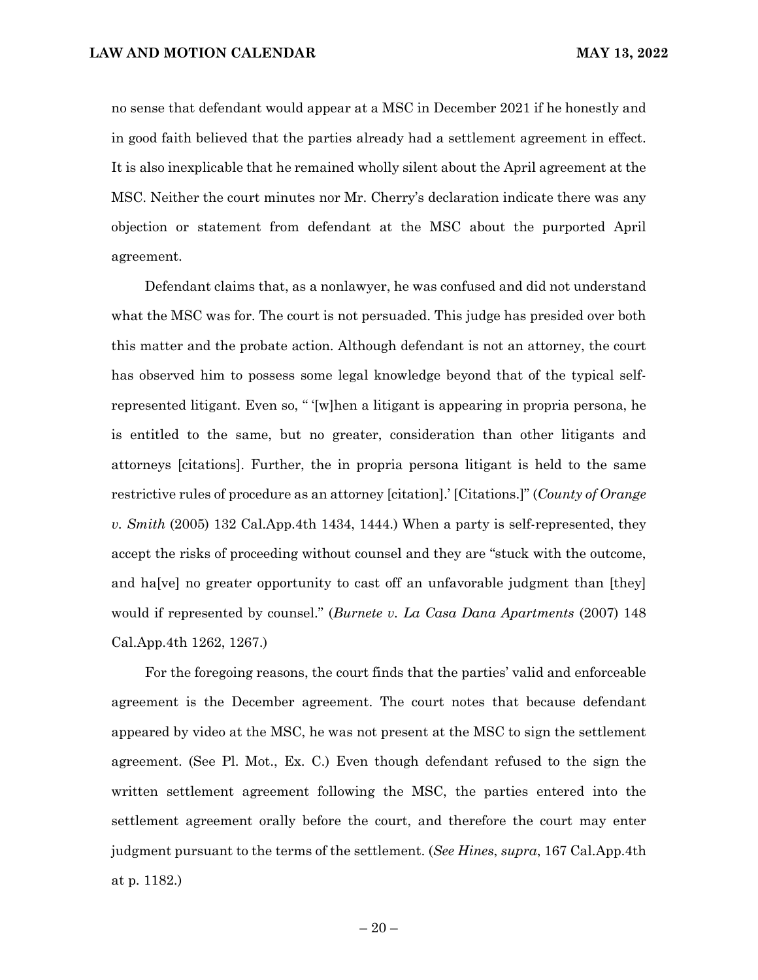no sense that defendant would appear at a MSC in December 2021 if he honestly and in good faith believed that the parties already had a settlement agreement in effect. It is also inexplicable that he remained wholly silent about the April agreement at the MSC. Neither the court minutes nor Mr. Cherry's declaration indicate there was any objection or statement from defendant at the MSC about the purported April agreement.

Defendant claims that, as a nonlawyer, he was confused and did not understand what the MSC was for. The court is not persuaded. This judge has presided over both this matter and the probate action. Although defendant is not an attorney, the court has observed him to possess some legal knowledge beyond that of the typical selfrepresented litigant. Even so, " '[w]hen a litigant is appearing in propria persona, he is entitled to the same, but no greater, consideration than other litigants and attorneys [citations]. Further, the in propria persona litigant is held to the same restrictive rules of procedure as an attorney [citation].' [Citations.]" (*County of Orange v. Smith* (2005) 132 Cal.App.4th 1434, 1444.) When a party is self-represented, they accept the risks of proceeding without counsel and they are "stuck with the outcome, and ha[ve] no greater opportunity to cast off an unfavorable judgment than [they] would if represented by counsel." (*Burnete v. La Casa Dana Apartments* (2007) 148 Cal.App.4th 1262, 1267.)

For the foregoing reasons, the court finds that the parties' valid and enforceable agreement is the December agreement. The court notes that because defendant appeared by video at the MSC, he was not present at the MSC to sign the settlement agreement. (See Pl. Mot., Ex. C.) Even though defendant refused to the sign the written settlement agreement following the MSC, the parties entered into the settlement agreement orally before the court, and therefore the court may enter judgment pursuant to the terms of the settlement. (*See Hines*, *supra*, 167 Cal.App.4th at p. 1182.)